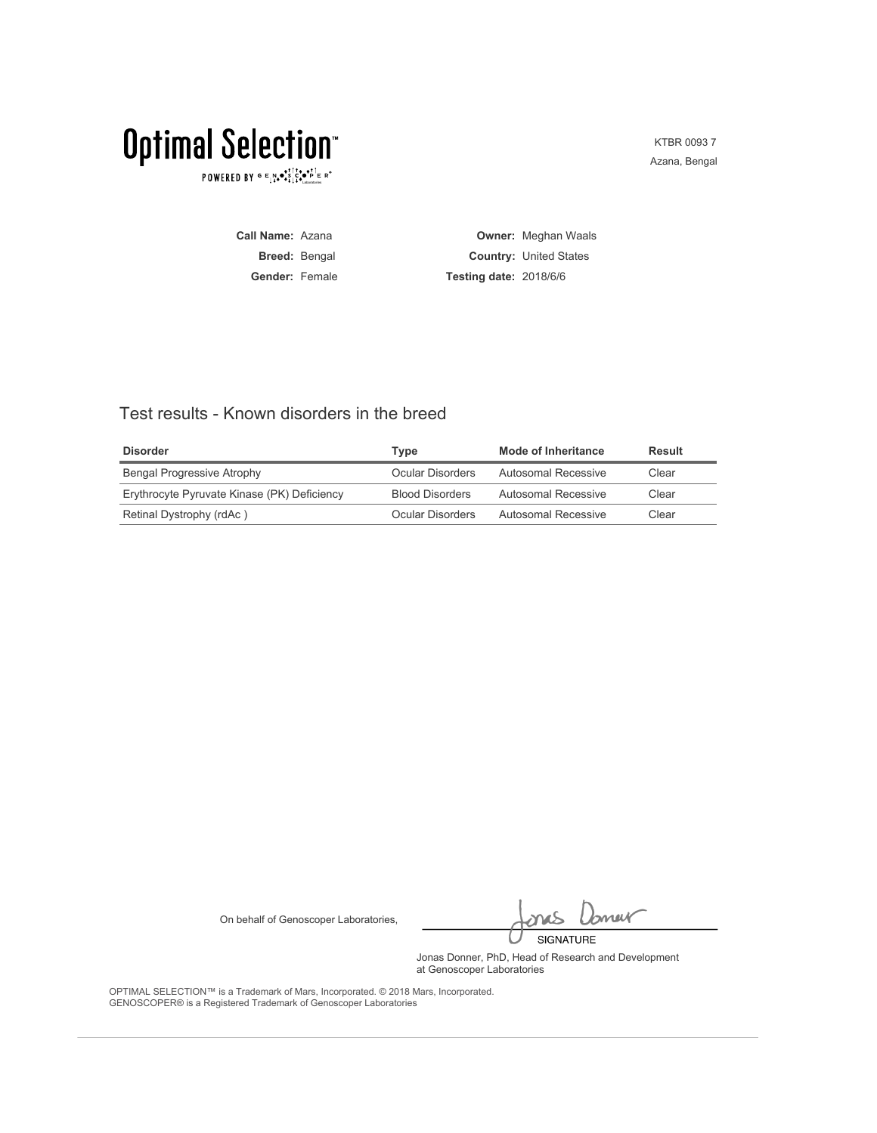$\texttt{POWERED BY} \texttt{G} \mathsf{E} \underset{\texttt{A}}{\texttt{N}} \bullet \underset{\texttt{A}}{\texttt{S}} \underset{\texttt{A}}{\texttt{C}} \underset{\texttt{A}}{\texttt{S}} \underset{\texttt{A}}{\texttt{C}} \underset{\texttt{A}}{\texttt{D}} \underset{\texttt{B}}{\texttt{D}} \mathsf{E} \mathsf{R}^\circ$ 

KTBR 0093 7 Azana, Bengal

**Call Name:** Azana **Breed:** Bengal **Gender:** Female **Owner:** Meghan Waals **Country:** United States **Testing date:** 2018/6/6

### Test results - Known disorders in the breed

| <b>Disorder</b>                             | Tvpe                   | <b>Mode of Inheritance</b> | Result |
|---------------------------------------------|------------------------|----------------------------|--------|
| Bengal Progressive Atrophy                  | Ocular Disorders       | Autosomal Recessive        | Clear  |
| Erythrocyte Pyruvate Kinase (PK) Deficiency | <b>Blood Disorders</b> | Autosomal Recessive        | Clear  |
| Retinal Dystrophy (rdAc)                    | Ocular Disorders       | Autosomal Recessive        | Clear  |

On behalf of Genoscoper Laboratories,

bnew SIGNATURE

Jonas Donner, PhD, Head of Research and Development at Genoscoper Laboratories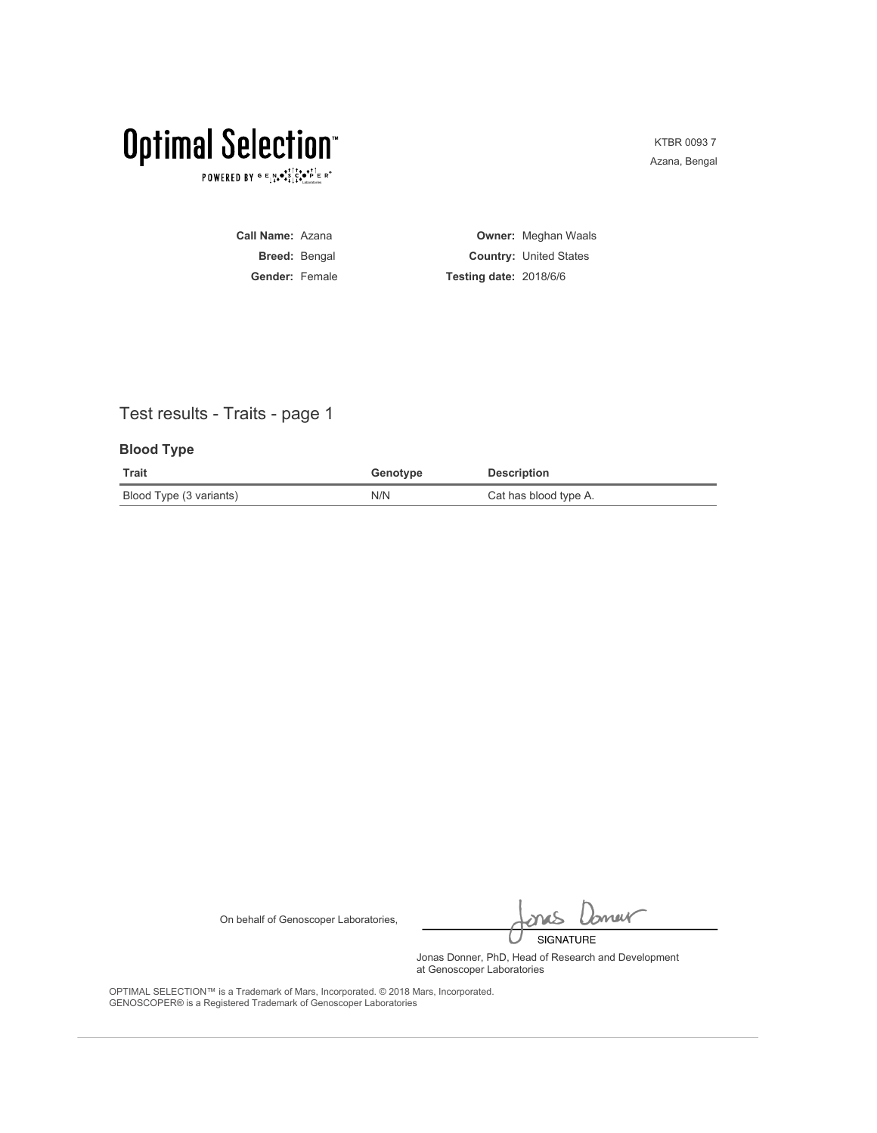$\texttt{POWERED BY} \texttt{G} \xrightarrow{E} \texttt{N} \bullet \texttt{S} \texttt{S} \texttt{C} \bullet \texttt{P} \texttt{E} \xrightarrow{R} \texttt{R}^\circ$ 

KTBR 0093 7 Azana, Bengal

**Call Name:** Azana **Breed:** Bengal **Gender:** Female **Owner:** Meghan Waals **Country:** United States **Testing date:** 2018/6/6

## Test results - Traits - page 1

### **Blood Type**

| <b>Trait</b>            | Genotype | <b>Description</b>    |
|-------------------------|----------|-----------------------|
| Blood Type (3 variants) | N/N      | Cat has blood type A. |

On behalf of Genoscoper Laboratories,

bnew SIGNATURE

Jonas Donner, PhD, Head of Research and Development at Genoscoper Laboratories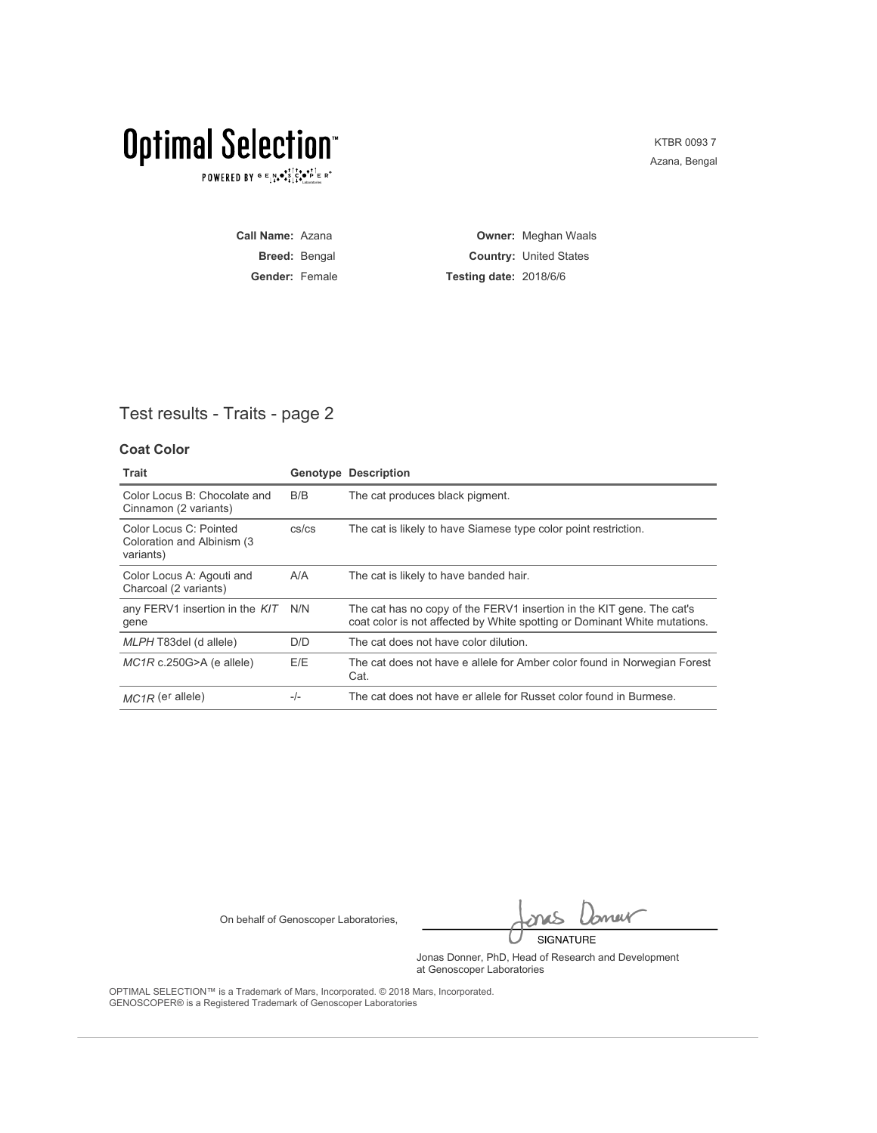$\texttt{POWERED BY} \texttt{G} \xrightarrow{E} \texttt{N} \bullet \texttt{S} \texttt{S} \texttt{C} \bullet \texttt{P} \texttt{E} \xrightarrow{R} \texttt{R}^\circ$ 

KTBR 0093 7 Azana, Bengal

**Call Name:** Azana **Breed:** Bengal **Gender:** Female **Owner:** Meghan Waals **Country:** United States **Testing date:** 2018/6/6

### Test results - Traits - page 2

### **Coat Color**

| Trait                                                              |             | <b>Genotype Description</b>                                                                                                                        |
|--------------------------------------------------------------------|-------------|----------------------------------------------------------------------------------------------------------------------------------------------------|
| Color Locus B: Chocolate and<br>Cinnamon (2 variants)              | B/B         | The cat produces black pigment.                                                                                                                    |
| Color Locus C: Pointed<br>Coloration and Albinism (3)<br>variants) | $cs$ / $cs$ | The cat is likely to have Siamese type color point restriction.                                                                                    |
| Color Locus A: Agouti and<br>Charcoal (2 variants)                 | A/A         | The cat is likely to have banded hair.                                                                                                             |
| any FERV1 insertion in the KIT<br>gene                             | N/N         | The cat has no copy of the FERV1 insertion in the KIT gene. The cat's<br>coat color is not affected by White spotting or Dominant White mutations. |
| MLPH T83del (d allele)                                             | D/D         | The cat does not have color dilution.                                                                                                              |
| $MC1R$ c.250G>A (e allele)                                         | E/E         | The cat does not have e allele for Amber color found in Norwegian Forest<br>Cat.                                                                   |
| $MC1R$ (e <sup>r</sup> allele)                                     | $-/-$       | The cat does not have er allele for Russet color found in Burmese.                                                                                 |

On behalf of Genoscoper Laboratories,

bnew SIGNATURE

Jonas Donner, PhD, Head of Research and Development at Genoscoper Laboratories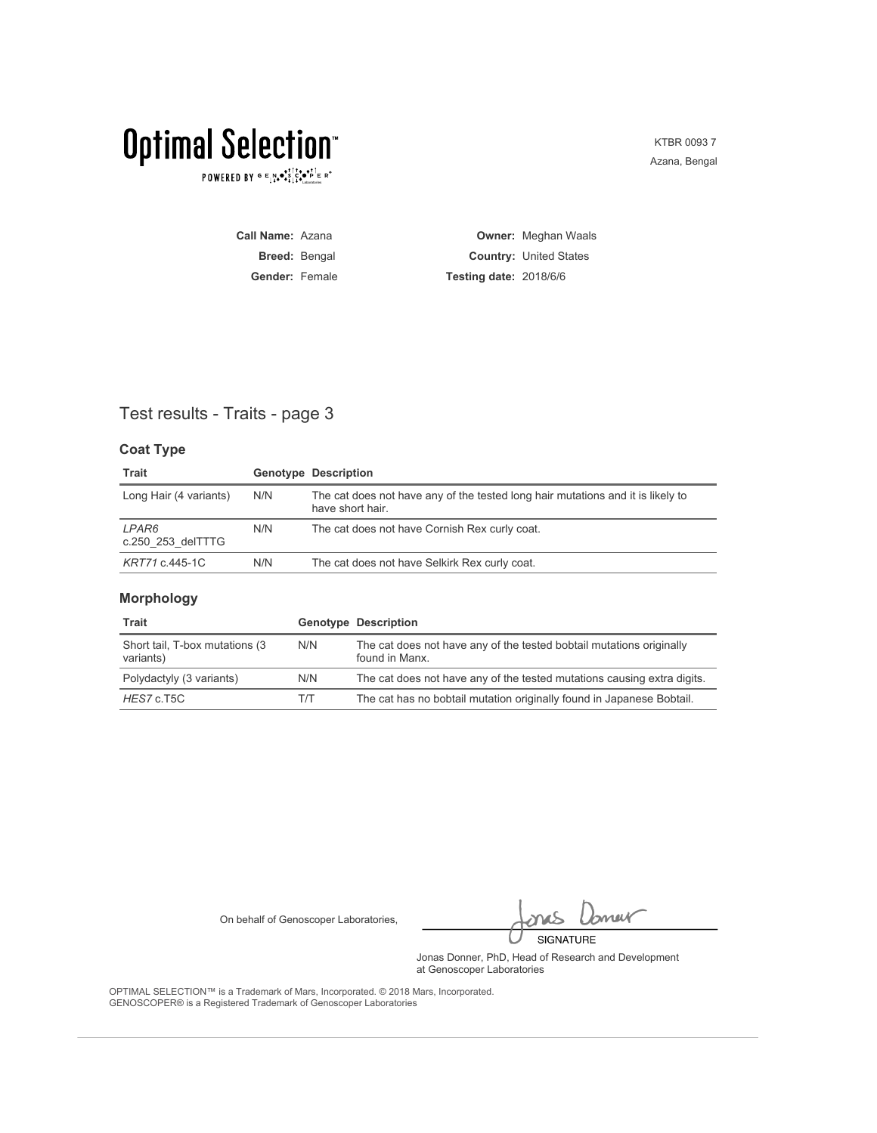$\texttt{POWERED BY} \overset{\text{\tiny{\textsf{GP}}}}{=} \mathbb{E}^{\text{N}}_{\text{14}} \bullet^{\text{\tiny{\textsf{opt}}}}_{\text{\tiny{\textsf{14}}}} \mathbb{E}^{\bullet\bullet\text{PI}}_{\text{\tiny{\textsf{14}}}} \mathbb{E}^{\circ\text{-P}}$ 

KTBR 0093 7 Azana, Bengal

| <b>Call Name: Azana</b> |                               | <b>Owner: Meghan Waals</b>    |
|-------------------------|-------------------------------|-------------------------------|
| <b>Breed: Bengal</b>    |                               | <b>Country: United States</b> |
| <b>Gender: Female</b>   | <b>Testing date: 2018/6/6</b> |                               |

### Test results - Traits - page 3

### **Coat Type**

| Trait                      |     | <b>Genotype Description</b>                                                                         |
|----------------------------|-----|-----------------------------------------------------------------------------------------------------|
| Long Hair (4 variants)     | N/N | The cat does not have any of the tested long hair mutations and it is likely to<br>have short hair. |
| LPAR6<br>c.250 253 delTTTG | N/N | The cat does not have Cornish Rex curly coat.                                                       |
| KRT71 c.445-1C             | N/N | The cat does not have Selkirk Rex curly coat.                                                       |

### **Morphology**

| Trait                                        |     | <b>Genotype Description</b>                                                            |
|----------------------------------------------|-----|----------------------------------------------------------------------------------------|
| Short tail, T-box mutations (3)<br>variants) | N/N | The cat does not have any of the tested bobtail mutations originally<br>found in Manx. |
| Polydactyly (3 variants)                     | N/N | The cat does not have any of the tested mutations causing extra digits.                |
| HES7 c.T5C                                   | T/T | The cat has no bobtail mutation originally found in Japanese Bobtail.                  |

On behalf of Genoscoper Laboratories,

bnew SIGNATURE

Jonas Donner, PhD, Head of Research and Development at Genoscoper Laboratories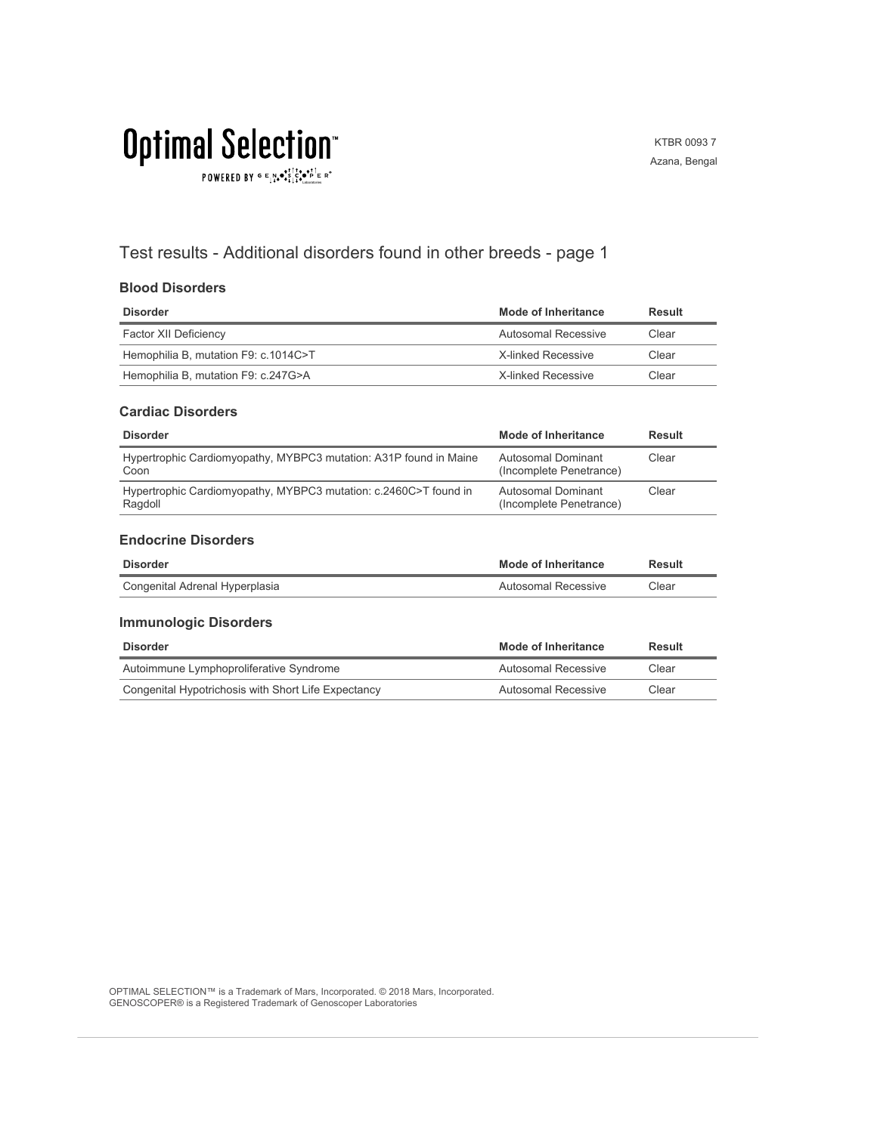# **Optimal Selection** POWERED BY  $G \in N_{\bullet} \bullet_{\bullet}^{\bullet,\dagger} \overset{\uparrow}{C}_{\bullet} \bullet_{\bullet}^{\bullet,\dagger} \overset{\uparrow}{C}_{\text{Latocrosics}} \mathbb{R}^{\circ}$

KTBR 0093 7 Azana, Bengal

## Test results - Additional disorders found in other breeds - page 1

### **Blood Disorders**

| <b>Disorder</b>                      | Mode of Inheritance | Result |
|--------------------------------------|---------------------|--------|
| Factor XII Deficiency                | Autosomal Recessive | Clear  |
| Hemophilia B, mutation F9: c.1014C>T | X-linked Recessive  | Clear  |
| Hemophilia B, mutation F9: c.247G>A  | X-linked Recessive  | Clear  |

#### **Cardiac Disorders**

| <b>Disorder</b>                                                             | Mode of Inheritance                           | Result |
|-----------------------------------------------------------------------------|-----------------------------------------------|--------|
| Hypertrophic Cardiomyopathy, MYBPC3 mutation: A31P found in Maine<br>Coon   | Autosomal Dominant<br>(Incomplete Penetrance) | Clear  |
| Hypertrophic Cardiomyopathy, MYBPC3 mutation: c.2460C>T found in<br>Ragdoll | Autosomal Dominant<br>(Incomplete Penetrance) | Clear  |

#### **Endocrine Disorders**

| <b>Disorder</b>                | <b>Mode of Inheritance</b> | Result |
|--------------------------------|----------------------------|--------|
| Congenital Adrenal Hyperplasia | Autosomal Recessive        | Clear  |

#### **Immunologic Disorders**

| Disorder                                            | Mode of Inheritance | Result |
|-----------------------------------------------------|---------------------|--------|
| Autoimmune Lymphoproliferative Syndrome             | Autosomal Recessive | Clear  |
| Congenital Hypotrichosis with Short Life Expectancy | Autosomal Recessive | Clear  |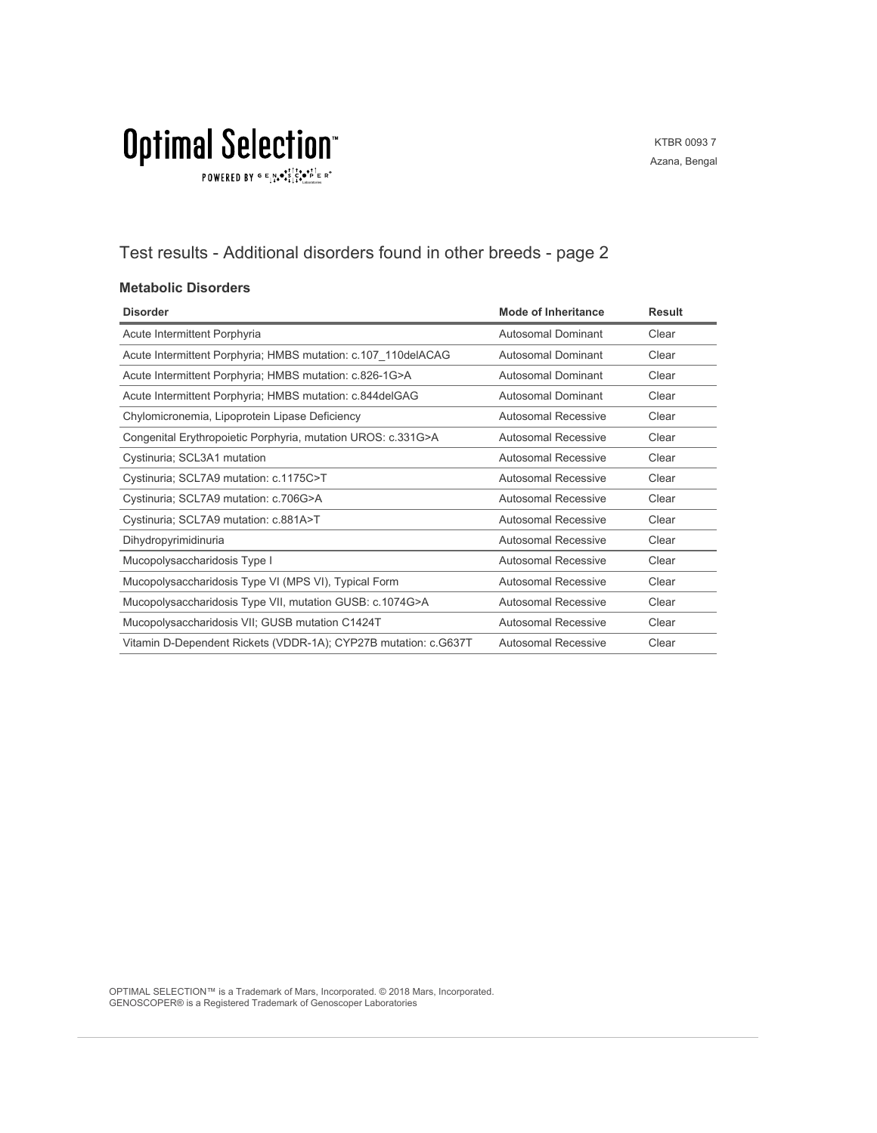# **Optimal Selection**  $\texttt{POWERED BY} \overset{\text{\tiny{\textsf{GP}}}}{=} \mathbb{E}^{\text{N}}_{\text{14}} \bullet^{\text{\tiny{\textsf{opt}}}}_{\text{\tiny{\textsf{14}}}} \mathbb{E}^{\bullet\bullet\text{PI}}_{\text{\tiny{\textsf{14}}}} \mathbb{E}^{\circ\text{-P}}$

KTBR 0093 7 Azana, Bengal

## Test results - Additional disorders found in other breeds - page 2

### **Metabolic Disorders**

| <b>Disorder</b>                                                 | <b>Mode of Inheritance</b> | <b>Result</b> |
|-----------------------------------------------------------------|----------------------------|---------------|
| Acute Intermittent Porphyria                                    | Autosomal Dominant         | Clear         |
| Acute Intermittent Porphyria; HMBS mutation: c.107_110delACAG   | Autosomal Dominant         | Clear         |
| Acute Intermittent Porphyria; HMBS mutation: c.826-1G>A         | Autosomal Dominant         | Clear         |
| Acute Intermittent Porphyria; HMBS mutation: c.844delGAG        | Autosomal Dominant         | Clear         |
| Chylomicronemia, Lipoprotein Lipase Deficiency                  | Autosomal Recessive        | Clear         |
| Congenital Erythropoietic Porphyria, mutation UROS: c.331G>A    | Autosomal Recessive        | Clear         |
| Cystinuria; SCL3A1 mutation                                     | Autosomal Recessive        | Clear         |
| Cystinuria; SCL7A9 mutation: c.1175C>T                          | Autosomal Recessive        | Clear         |
| Cystinuria; SCL7A9 mutation: c.706G>A                           | Autosomal Recessive        | Clear         |
| Cystinuria; SCL7A9 mutation: c.881A>T                           | <b>Autosomal Recessive</b> | Clear         |
| Dihydropyrimidinuria                                            | <b>Autosomal Recessive</b> | Clear         |
| Mucopolysaccharidosis Type I                                    | <b>Autosomal Recessive</b> | Clear         |
| Mucopolysaccharidosis Type VI (MPS VI), Typical Form            | Autosomal Recessive        | Clear         |
| Mucopolysaccharidosis Type VII, mutation GUSB: c.1074G>A        | Autosomal Recessive        | Clear         |
| Mucopolysaccharidosis VII; GUSB mutation C1424T                 | <b>Autosomal Recessive</b> | Clear         |
| Vitamin D-Dependent Rickets (VDDR-1A); CYP27B mutation: c.G637T | Autosomal Recessive        | Clear         |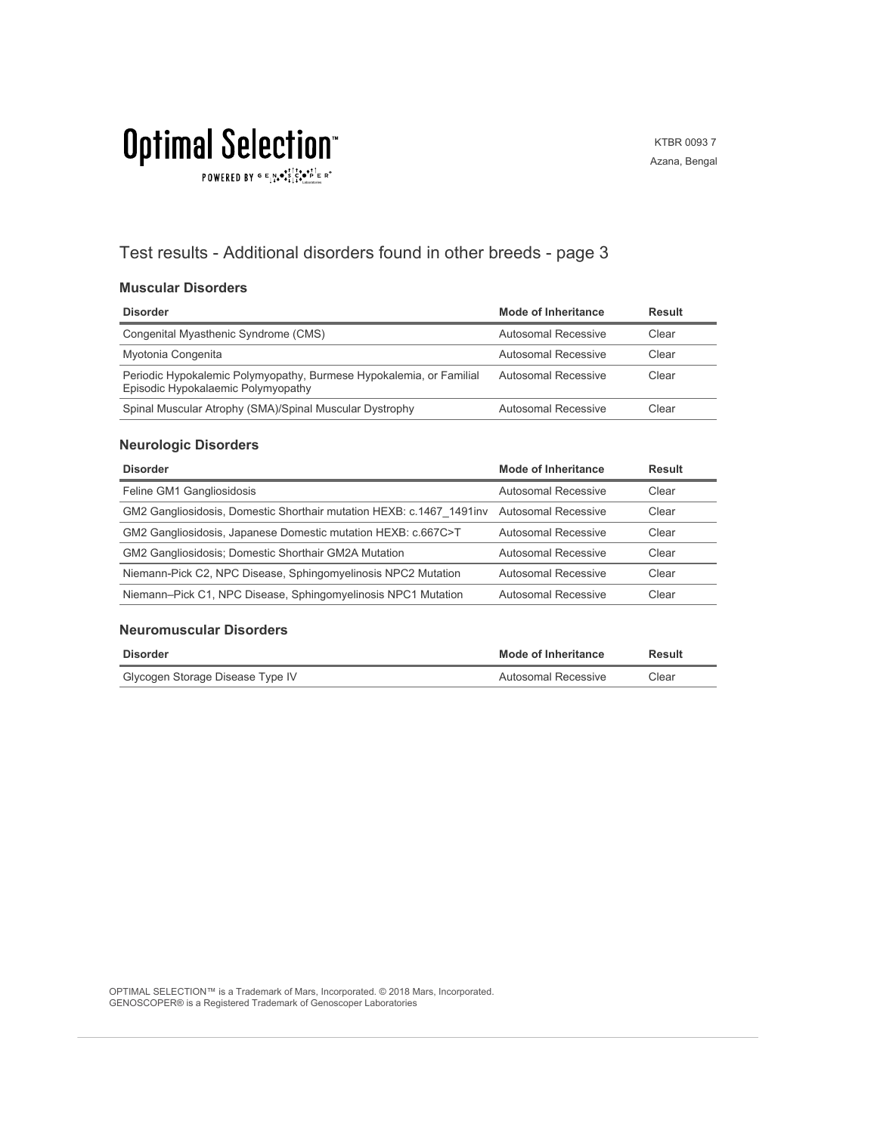# **Optimal Selection** POWERED BY  $G \in N_{\bullet} \bullet_{\bullet}^{\bullet,\dagger} \overset{\uparrow}{C}_{\bullet} \bullet_{\bullet}^{\bullet,\dagger} \overset{\uparrow}{C}_{\text{Latocrosics}} \mathbb{R}^{\circ}$

### KTBR 0093 7 Azana, Bengal

## Test results - Additional disorders found in other breeds - page 3

### **Muscular Disorders**

| <b>Disorder</b>                                                                                           | Mode of Inheritance | Result |
|-----------------------------------------------------------------------------------------------------------|---------------------|--------|
| Congenital Myasthenic Syndrome (CMS)                                                                      | Autosomal Recessive | Clear  |
| Myotonia Congenita                                                                                        | Autosomal Recessive | Clear  |
| Periodic Hypokalemic Polymyopathy, Burmese Hypokalemia, or Familial<br>Episodic Hypokalaemic Polymyopathy | Autosomal Recessive | Clear  |
| Spinal Muscular Atrophy (SMA)/Spinal Muscular Dystrophy                                                   | Autosomal Recessive | Clear  |

### **Neurologic Disorders**

| <b>Disorder</b>                                                                           | Mode of Inheritance        | <b>Result</b> |
|-------------------------------------------------------------------------------------------|----------------------------|---------------|
| Feline GM1 Gangliosidosis                                                                 | Autosomal Recessive        | Clear         |
| GM2 Gangliosidosis, Domestic Shorthair mutation HEXB: c.1467 1491 inv Autosomal Recessive |                            | Clear         |
| GM2 Gangliosidosis, Japanese Domestic mutation HEXB: c.667C>T                             | Autosomal Recessive        | Clear         |
| <b>GM2 Gangliosidosis: Domestic Shorthair GM2A Mutation</b>                               | Autosomal Recessive        | Clear         |
| Niemann-Pick C2, NPC Disease, Sphingomyelinosis NPC2 Mutation                             | <b>Autosomal Recessive</b> | Clear         |
| Niemann-Pick C1, NPC Disease, Sphingomyelinosis NPC1 Mutation                             | Autosomal Recessive        | Clear         |

#### **Neuromuscular Disorders**

| Disorder                         | <b>Mode of Inheritance</b> | Result |
|----------------------------------|----------------------------|--------|
| Glycogen Storage Disease Type IV | Autosomal Recessive        | Clear  |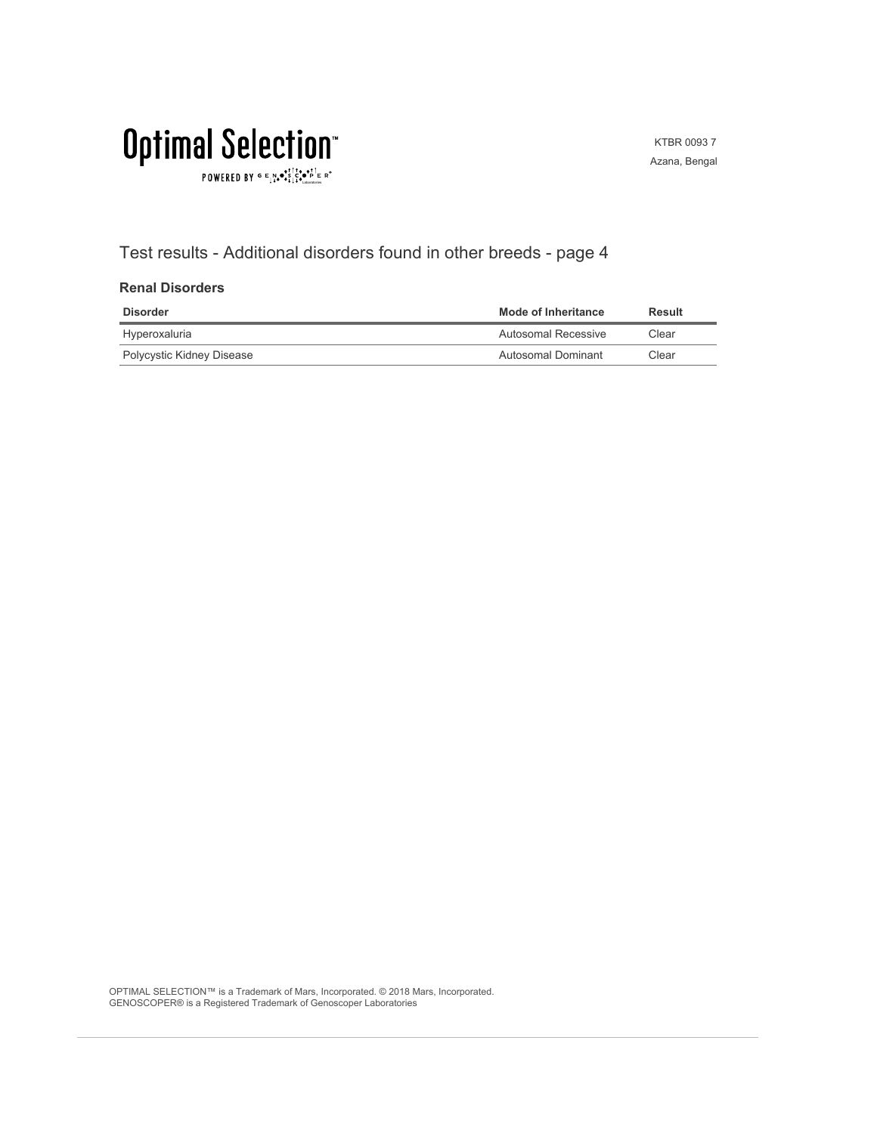# **Optimal Selection**  $\texttt{POWERED BY} \overset{\text{\tiny{\textsf{GP}}}}{=} \mathbb{E}^{\text{N}}_{\text{14}} \bullet^{\text{\tiny{\textsf{opt}}}}_{\text{\tiny{\textsf{14}}}} \mathbb{E}^{\bullet\bullet\text{PI}}_{\text{\tiny{\textsf{14}}}} \mathbb{E}^{\circ\text{-P}}$

KTBR 0093 7 Azana, Bengal

## Test results - Additional disorders found in other breeds - page 4

### **Renal Disorders**

| Disorder                  | Mode of Inheritance | Result |
|---------------------------|---------------------|--------|
| Hyperoxaluria             | Autosomal Recessive | Clear  |
| Polycystic Kidney Disease | Autosomal Dominant  | Clear  |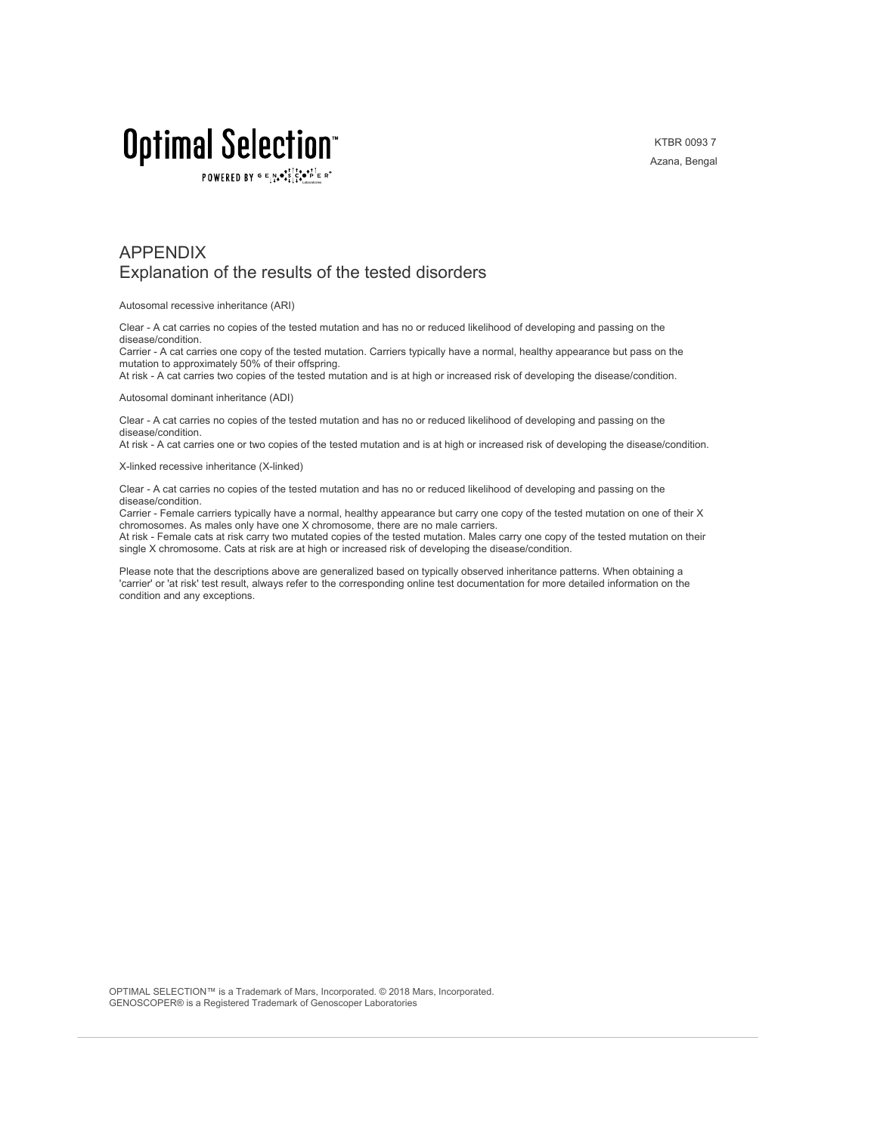KTBR 0093 7 Azana, Bengal

# Optimal Selection

POWERED BY  $G \in N_{\bullet} \bullet_{\bullet}^{\dagger} \stackrel{\uparrow}{\circ} \bullet_{\mathbf{P}}^{\dagger} \in R^{\circ}$ 

### APPENDIX Explanation of the results of the tested disorders

Autosomal recessive inheritance (ARI)

Clear - A cat carries no copies of the tested mutation and has no or reduced likelihood of developing and passing on the disease/condition.

Carrier - A cat carries one copy of the tested mutation. Carriers typically have a normal, healthy appearance but pass on the mutation to approximately 50% of their offspring.

At risk - A cat carries two copies of the tested mutation and is at high or increased risk of developing the disease/condition.

Autosomal dominant inheritance (ADI)

Clear - A cat carries no copies of the tested mutation and has no or reduced likelihood of developing and passing on the disease/condition.

At risk - A cat carries one or two copies of the tested mutation and is at high or increased risk of developing the disease/condition.

X-linked recessive inheritance (X-linked)

Clear - A cat carries no copies of the tested mutation and has no or reduced likelihood of developing and passing on the disease/condition.

Carrier - Female carriers typically have a normal, healthy appearance but carry one copy of the tested mutation on one of their X chromosomes. As males only have one X chromosome, there are no male carriers.

At risk - Female cats at risk carry two mutated copies of the tested mutation. Males carry one copy of the tested mutation on their single X chromosome. Cats at risk are at high or increased risk of developing the disease/condition.

Please note that the descriptions above are generalized based on typically observed inheritance patterns. When obtaining a 'carrier' or 'at risk' test result, always refer to the corresponding online test documentation for more detailed information on the condition and any exceptions.